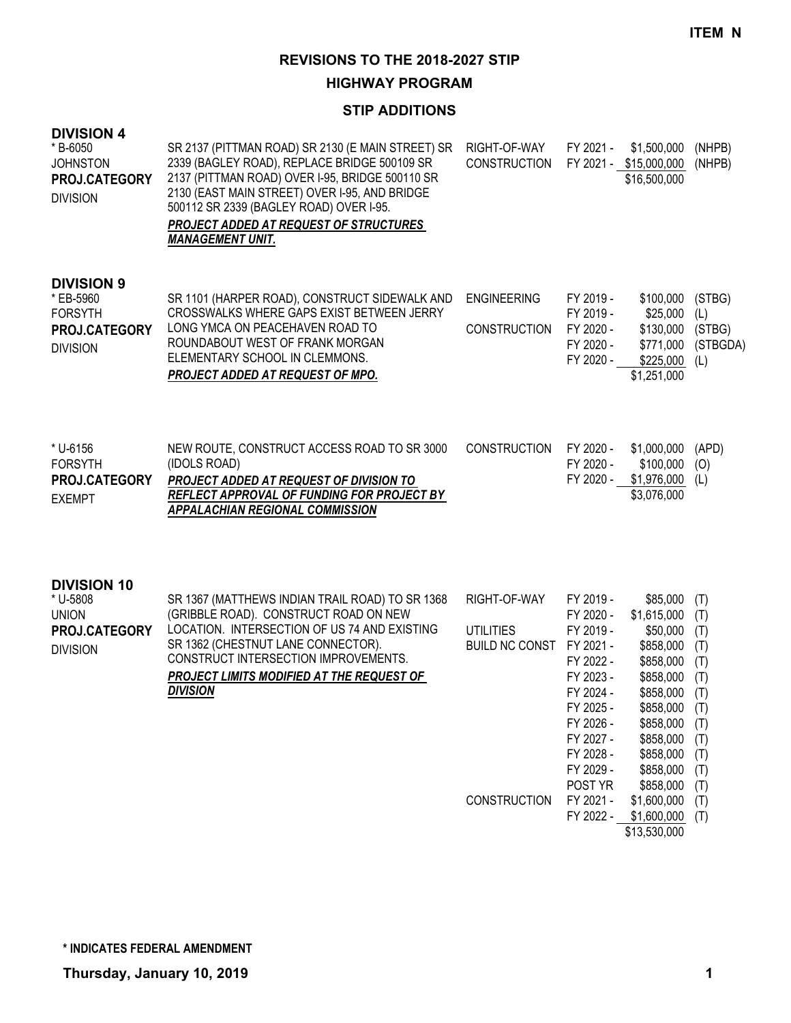## **HIGHWAY PROGRAM**

## **STIP ADDITIONS**

| <b>DIVISION 4</b><br>* B-6050<br><b>JOHNSTON</b><br>PROJ.CATEGORY<br><b>DIVISION</b> | SR 2137 (PITTMAN ROAD) SR 2130 (E MAIN STREET) SR<br>2339 (BAGLEY ROAD), REPLACE BRIDGE 500109 SR<br>2137 (PITTMAN ROAD) OVER I-95, BRIDGE 500110 SR<br>2130 (EAST MAIN STREET) OVER I-95, AND BRIDGE<br>500112 SR 2339 (BAGLEY ROAD) OVER I-95.<br>PROJECT ADDED AT REQUEST OF STRUCTURES<br><b>MANAGEMENT UNIT.</b> | RIGHT-OF-WAY<br><b>CONSTRUCTION</b>                                          | FY 2021 -                                                                                                                                                                        | \$1,500,000<br>FY 2021 - \$15,000,000<br>\$16,500,000                                                                                                                                                               | (NHPB)<br>(NHPB)                                                                                      |
|--------------------------------------------------------------------------------------|-----------------------------------------------------------------------------------------------------------------------------------------------------------------------------------------------------------------------------------------------------------------------------------------------------------------------|------------------------------------------------------------------------------|----------------------------------------------------------------------------------------------------------------------------------------------------------------------------------|---------------------------------------------------------------------------------------------------------------------------------------------------------------------------------------------------------------------|-------------------------------------------------------------------------------------------------------|
| <b>DIVISION 9</b><br>* EB-5960<br><b>FORSYTH</b><br>PROJ.CATEGORY<br><b>DIVISION</b> | SR 1101 (HARPER ROAD), CONSTRUCT SIDEWALK AND<br>CROSSWALKS WHERE GAPS EXIST BETWEEN JERRY<br>LONG YMCA ON PEACEHAVEN ROAD TO<br>ROUNDABOUT WEST OF FRANK MORGAN<br>ELEMENTARY SCHOOL IN CLEMMONS.<br><b>PROJECT ADDED AT REQUEST OF MPO.</b>                                                                         | <b>ENGINEERING</b><br><b>CONSTRUCTION</b>                                    | FY 2019 -<br>FY 2019 -<br>FY 2020 -<br>FY 2020 -<br>FY 2020 -                                                                                                                    | \$100,000<br>\$25,000<br>\$130,000<br>\$771,000<br>\$225,000<br>\$1,251,000                                                                                                                                         | (STBG)<br>(L)<br>(STBG)<br>(STBGDA)<br>(L)                                                            |
| * U-6156<br><b>FORSYTH</b><br>PROJ.CATEGORY<br><b>EXEMPT</b>                         | NEW ROUTE, CONSTRUCT ACCESS ROAD TO SR 3000<br>(IDOLS ROAD)<br>PROJECT ADDED AT REQUEST OF DIVISION TO<br>REFLECT APPROVAL OF FUNDING FOR PROJECT BY<br><b>APPALACHIAN REGIONAL COMMISSION</b>                                                                                                                        | <b>CONSTRUCTION</b>                                                          | FY 2020 -<br>FY 2020 -<br>FY 2020 -                                                                                                                                              | \$1,000,000<br>\$100,000<br>\$1,976,000<br>\$3,076,000                                                                                                                                                              | (APD)<br>(0)<br>(L)                                                                                   |
| <b>DIVISION 10</b><br>* U-5808<br><b>UNION</b><br>PROJ.CATEGORY<br><b>DIVISION</b>   | SR 1367 (MATTHEWS INDIAN TRAIL ROAD) TO SR 1368<br>(GRIBBLE ROAD). CONSTRUCT ROAD ON NEW<br>LOCATION. INTERSECTION OF US 74 AND EXISTING<br>SR 1362 (CHESTNUT LANE CONNECTOR).<br>CONSTRUCT INTERSECTION IMPROVEMENTS.<br>PROJECT LIMITS MODIFIED AT THE REQUEST OF<br><b>DIVISION</b>                                | RIGHT-OF-WAY<br><b>UTILITIES</b><br>BUILD NC CONST FY 2021 -<br>CONSTRUCTION | FY 2019 -<br>FY 2020 -<br>FY 2019 -<br>FY 2022 -<br>FY 2023 -<br>FY 2024 -<br>FY 2025 -<br>FY 2026 -<br>FY 2027 -<br>FY 2028 -<br>FY 2029 -<br>POST YR<br>FY 2021 -<br>FY 2022 - | \$85,000<br>\$1,615,000<br>\$50,000<br>\$858,000<br>\$858,000<br>\$858,000<br>\$858,000<br>\$858,000<br>\$858,000<br>\$858,000<br>\$858,000<br>\$858,000<br>\$858,000<br>\$1,600,000<br>\$1,600,000<br>\$13,530,000 | (T)<br>(T)<br>(T)<br>(T)<br>(T)<br>(T)<br>(T)<br>(T)<br>(T)<br>(T)<br>(T)<br>(T)<br>(T)<br>(T)<br>(T) |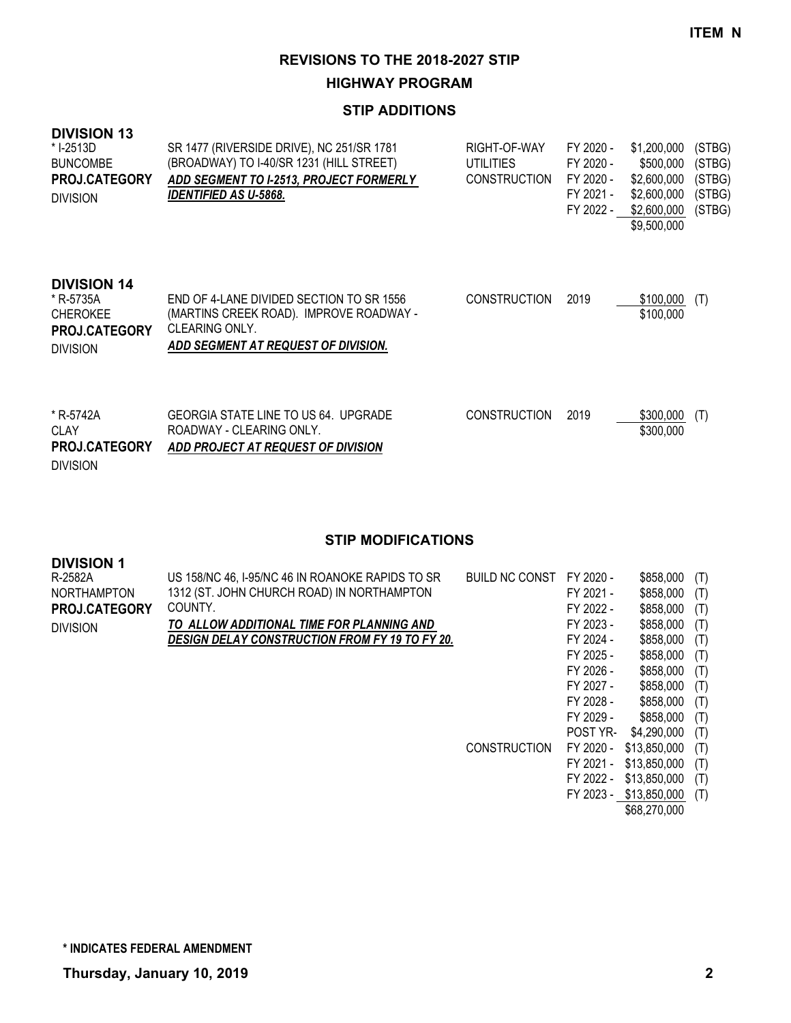**HIGHWAY PROGRAM**

## **STIP ADDITIONS**

| <b>DIVISION 13</b><br>* I-2513D<br><b>BUNCOMBE</b><br><b>PROJ.CATEGORY</b><br><b>DIVISION</b> | SR 1477 (RIVERSIDE DRIVE), NC 251/SR 1781<br>(BROADWAY) TO I-40/SR 1231 (HILL STREET)<br>ADD SEGMENT TO I-2513, PROJECT FORMERLY<br><i><b>IDENTIFIED AS U-5868.</b></i> | RIGHT-OF-WAY<br>UTILITIES<br><b>CONSTRUCTION</b> | FY 2020 -<br>FY 2020 -<br>FY 2020 -<br>FY 2021 -<br>FY 2022 - | \$1,200,000<br>\$500,000<br>\$2,600,000<br>\$2,600,000<br>\$2,600,000<br>\$9,500,000 | (STBG)<br>(STBG)<br>(STBG)<br>(STBG)<br>(STBG) |
|-----------------------------------------------------------------------------------------------|-------------------------------------------------------------------------------------------------------------------------------------------------------------------------|--------------------------------------------------|---------------------------------------------------------------|--------------------------------------------------------------------------------------|------------------------------------------------|
| <b>DIVISION 14</b><br>* R-5735A<br><b>CHEROKEE</b><br><b>PROJ.CATEGORY</b><br><b>DIVISION</b> | END OF 4-LANE DIVIDED SECTION TO SR 1556<br>(MARTINS CREEK ROAD). IMPROVE ROADWAY -<br>CLEARING ONLY.<br>ADD SEGMENT AT REQUEST OF DIVISION.                            | <b>CONSTRUCTION</b>                              | 2019                                                          | \$100,000<br>\$100,000                                                               | (T)                                            |
| * R-5742A<br>CLAY<br>PROJ.CATEGORY                                                            | GEORGIA STATE LINE TO US 64. UPGRADE<br>ROADWAY - CLEARING ONLY.<br>ADD PROJECT AT REQUEST OF DIVISION                                                                  | <b>CONSTRUCTION</b>                              | 2019                                                          | \$300,000<br>\$300,000                                                               | (T)                                            |

DIVISION

| <b>DIVISION 1</b>    |                                                       |                     |           |              |     |
|----------------------|-------------------------------------------------------|---------------------|-----------|--------------|-----|
| R-2582A              | US 158/NC 46, I-95/NC 46 IN ROANOKE RAPIDS TO SR      | BUILD NC CONST      | FY 2020 - | \$858,000    | (T) |
| <b>NORTHAMPTON</b>   | 1312 (ST. JOHN CHURCH ROAD) IN NORTHAMPTON            |                     | FY 2021 - | \$858,000    | (T) |
| <b>PROJ.CATEGORY</b> | COUNTY.                                               |                     | FY 2022 - | \$858,000    | (T) |
| <b>DIVISION</b>      | TO ALLOW ADDITIONAL TIME FOR PLANNING AND             |                     | FY 2023 - | \$858,000    | (T) |
|                      | <b>DESIGN DELAY CONSTRUCTION FROM FY 19 TO FY 20.</b> |                     | FY 2024 - | \$858,000    | (T) |
|                      |                                                       |                     | FY 2025 - | \$858,000    | (T) |
|                      |                                                       |                     | FY 2026 - | \$858,000    | (T) |
|                      |                                                       |                     | FY 2027 - | \$858,000    | (T) |
|                      |                                                       |                     | FY 2028 - | \$858,000    | (T) |
|                      |                                                       |                     | FY 2029 - | \$858,000    | (T) |
|                      |                                                       |                     | POST YR-  | \$4,290,000  | (T) |
|                      |                                                       | <b>CONSTRUCTION</b> | FY 2020 - | \$13,850,000 | (T) |
|                      |                                                       |                     | FY 2021 - | \$13,850,000 | (T) |
|                      |                                                       |                     | FY 2022 - | \$13,850,000 | (T) |
|                      |                                                       |                     | FY 2023 - | \$13,850,000 | (T) |
|                      |                                                       |                     |           | \$68,270,000 |     |
|                      |                                                       |                     |           |              |     |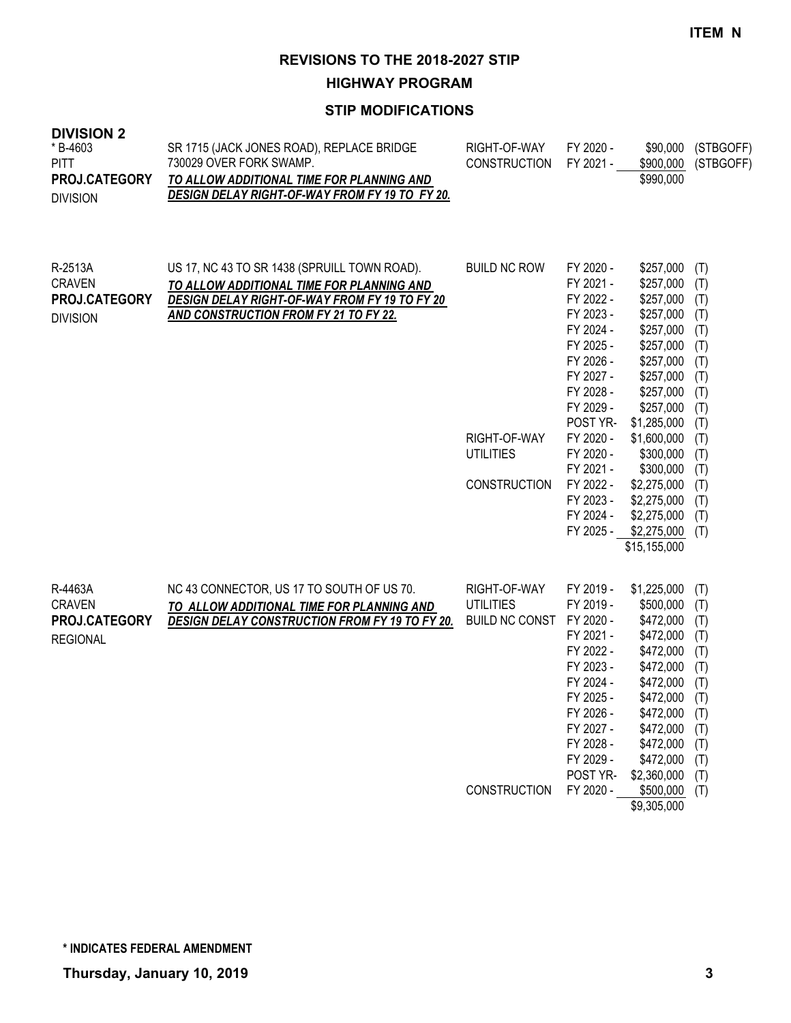**HIGHWAY PROGRAM**

## **STIP MODIFICATIONS**

| * B-4603<br><b>PITT</b><br>PROJ.CATEGORY<br><b>DIVISION</b>  | SR 1715 (JACK JONES ROAD), REPLACE BRIDGE<br>730029 OVER FORK SWAMP.<br>TO ALLOW ADDITIONAL TIME FOR PLANNING AND<br>DESIGN DELAY RIGHT-OF-WAY FROM FY 19 TO FY 20.                 | RIGHT-OF-WAY<br><b>CONSTRUCTION</b>                                              | FY 2020 -<br>FY 2021 -                                                                                                                                                                                                                | \$90,000<br>\$900,000<br>\$990,000                                                                                                                                                                                                                                 | (STBGOFF)<br>(STBGOFF)                                                                                                     |
|--------------------------------------------------------------|-------------------------------------------------------------------------------------------------------------------------------------------------------------------------------------|----------------------------------------------------------------------------------|---------------------------------------------------------------------------------------------------------------------------------------------------------------------------------------------------------------------------------------|--------------------------------------------------------------------------------------------------------------------------------------------------------------------------------------------------------------------------------------------------------------------|----------------------------------------------------------------------------------------------------------------------------|
| R-2513A<br><b>CRAVEN</b><br>PROJ.CATEGORY<br><b>DIVISION</b> | US 17, NC 43 TO SR 1438 (SPRUILL TOWN ROAD).<br>TO ALLOW ADDITIONAL TIME FOR PLANNING AND<br>DESIGN DELAY RIGHT-OF-WAY FROM FY 19 TO FY 20<br>AND CONSTRUCTION FROM FY 21 TO FY 22. | <b>BUILD NC ROW</b><br>RIGHT-OF-WAY<br><b>UTILITIES</b><br><b>CONSTRUCTION</b>   | FY 2020 -<br>FY 2021 -<br>FY 2022 -<br>FY 2023 -<br>FY 2024 -<br>FY 2025 -<br>FY 2026 -<br>FY 2027 -<br>FY 2028 -<br>FY 2029 -<br>POST YR-<br>FY 2020 -<br>FY 2020 -<br>FY 2021 -<br>FY 2022 -<br>FY 2023 -<br>FY 2024 -<br>FY 2025 - | \$257,000<br>\$257,000<br>\$257,000<br>\$257,000<br>\$257,000<br>\$257,000<br>\$257,000<br>\$257,000<br>\$257,000<br>\$257,000<br>\$1,285,000<br>\$1,600,000<br>\$300,000<br>\$300,000<br>\$2,275,000<br>\$2,275,000<br>\$2,275,000<br>\$2,275,000<br>\$15,155,000 | (T)<br>(T)<br>(T)<br>(T)<br>(T)<br>(T)<br>(T)<br>(T)<br>(T)<br>(T)<br>(T)<br>(T)<br>(T)<br>(T)<br>(T)<br>(T)<br>(T)<br>(T) |
| R-4463A<br><b>CRAVEN</b><br>PROJ.CATEGORY<br><b>REGIONAL</b> | NC 43 CONNECTOR, US 17 TO SOUTH OF US 70.<br>TO ALLOW ADDITIONAL TIME FOR PLANNING AND<br><b>DESIGN DELAY CONSTRUCTION FROM FY 19 TO FY 20.</b>                                     | RIGHT-OF-WAY<br><b>UTILITIES</b><br><b>BUILD NC CONST</b><br><b>CONSTRUCTION</b> | FY 2019 -<br>FY 2019 -<br>FY 2020 -<br>FY 2021 -<br>FY 2022 -<br>FY 2023 -<br>FY 2024 -<br>FY 2025 -<br>FY 2026 -<br>FY 2027 -<br>FY 2028 -<br>FY 2029 -<br>POST YR-<br>FY 2020 -                                                     | \$1,225,000<br>\$500,000<br>\$472,000<br>\$472,000<br>\$472,000<br>\$472,000<br>\$472,000<br>\$472,000<br>\$472,000 (T)<br>\$472,000<br>\$472,000<br>\$472,000<br>\$2,360,000<br>\$500,000<br>\$9,305,000                                                          | (T)<br>(T)<br>(T)<br>(T)<br>(T)<br>(T)<br>(T)<br>(T)<br>(T)<br>(T)<br>(T)<br>(T)<br>(T)                                    |

**DIVISION 2**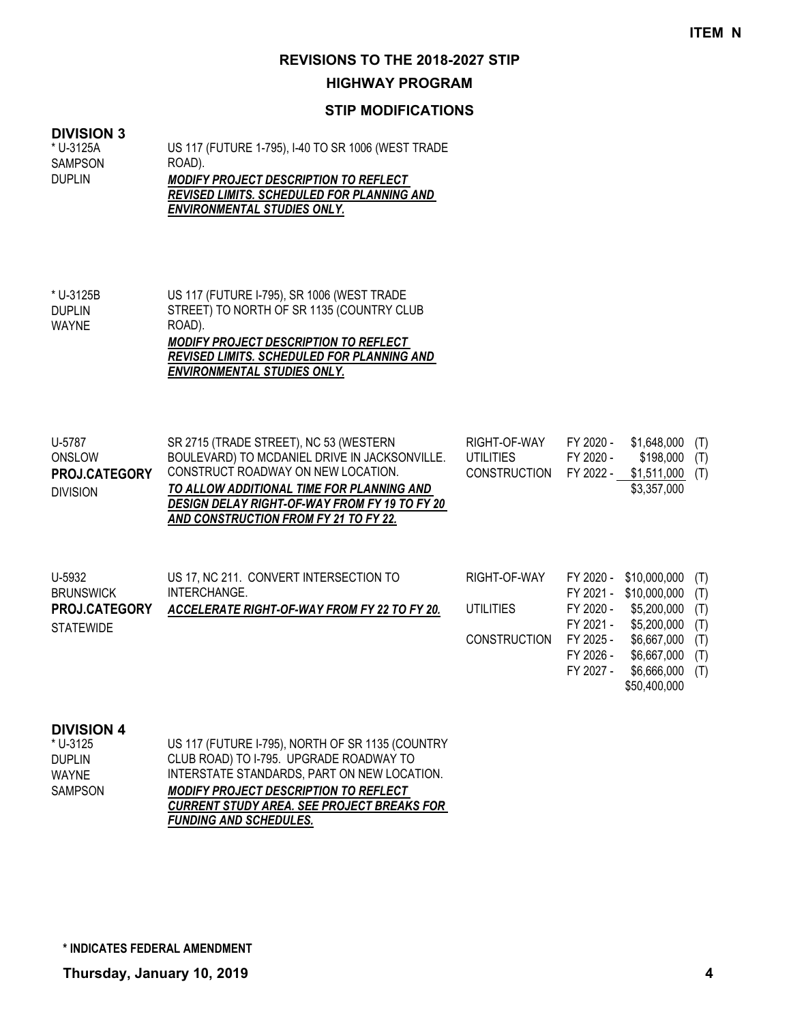#### **HIGHWAY PROGRAM**

## **STIP MODIFICATIONS**

#### **DIVISION 3**

US 117 (FUTURE 1-795), I-40 TO SR 1006 (WEST TRADE ROAD). *MODIFY PROJECT DESCRIPTION TO REFLECT REVISED LIMITS. SCHEDULED FOR PLANNING AND*  \* U-3125A SAMPSON DUPLIN

*ENVIRONMENTAL STUDIES ONLY.*

| * U-3125B     | US 117 (FUTURE I-795), SR 1006 (WEST TRADE        |
|---------------|---------------------------------------------------|
| <b>DUPLIN</b> | STREET) TO NORTH OF SR 1135 (COUNTRY CLUB         |
| WAYNE         | ROAD).                                            |
|               | <b>MODIFY PROJECT DESCRIPTION TO REFLECT</b>      |
|               | <b>REVISED LIMITS. SCHEDULED FOR PLANNING AND</b> |
|               | <b>ENVIRONMENTAL STUDIES ONLY.</b>                |
|               |                                                   |

| U-5787<br>ONSLOW<br><b>PROJ.CATEGORY</b><br><b>DIVISION</b>            | SR 2715 (TRADE STREET), NC 53 (WESTERN<br>BOULEVARD) TO MCDANIEL DRIVE IN JACKSONVILLE.<br>CONSTRUCT ROADWAY ON NEW LOCATION.<br>TO ALLOW ADDITIONAL TIME FOR PLANNING AND<br><b>DESIGN DELAY RIGHT-OF-WAY FROM FY 19 TO FY 20</b><br>AND CONSTRUCTION FROM FY 21 TO FY 22. | RIGHT-OF-WAY<br><b>UTILITIES</b><br><b>CONSTRUCTION</b> | FY 2020 -<br>FY 2020 -<br>FY 2022 -              | \$1,648,000<br>\$198,000<br>\$1,511,000<br>\$3,357,000     | (T)<br>(T)<br>(T)        |
|------------------------------------------------------------------------|-----------------------------------------------------------------------------------------------------------------------------------------------------------------------------------------------------------------------------------------------------------------------------|---------------------------------------------------------|--------------------------------------------------|------------------------------------------------------------|--------------------------|
| U-5932<br><b>BRUNSWICK</b><br><b>PROJ.CATEGORY</b><br><b>STATEWIDE</b> | US 17, NC 211. CONVERT INTERSECTION TO<br>INTERCHANGE.<br>ACCELERATE RIGHT-OF-WAY FROM FY 22 TO FY 20.                                                                                                                                                                      | RIGHT-OF-WAY<br><b>UTILITIES</b>                        | FY 2020 -<br>FY 2021 -<br>FY 2020 -<br>FY 2021 - | \$10,000,000<br>\$10,000,000<br>\$5,200,000<br>\$5,200,000 | (T)<br>(T)<br>(T)<br>(T) |

CONSTRUCTION FY 2025 - \$6,667,000 (T)

FY 2026 - \$6,667,000 (T)

FY 2027 - \$6,666,000 (T) \$50,400,000

#### **DIVISION 4**

| * U-3125 | US 117 (FUTURE I-795), NORTH OF SR 1135 (COUNTRY |
|----------|--------------------------------------------------|
| Duplin   | CLUB ROAD) TO I-795. UPGRADE ROADWAY TO          |
| WAYNE    | INTERSTATE STANDARDS, PART ON NEW LOCATION.      |
| SAMPSON  | <b>MODIFY PROJECT DESCRIPTION TO REFLECT</b>     |
|          | CURRENT STUDY AREA. SEE PROJECT BREAKS FOR       |
|          | <b>FUNDING AND SCHEDULES.</b>                    |
|          |                                                  |

**\* INDICATES FEDERAL AMENDMENT**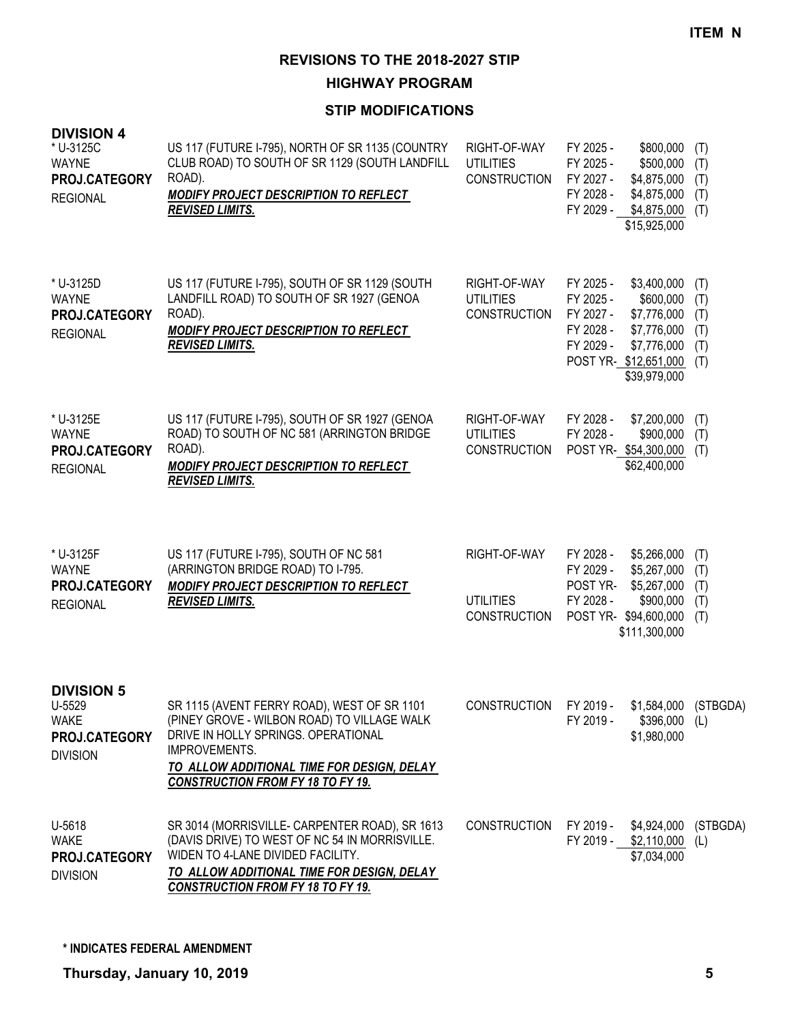**HIGHWAY PROGRAM**

| <b>DIVISION 4</b><br>* U-3125C<br><b>WAYNE</b><br>PROJ.CATEGORY<br><b>REGIONAL</b> | US 117 (FUTURE I-795), NORTH OF SR 1135 (COUNTRY<br>CLUB ROAD) TO SOUTH OF SR 1129 (SOUTH LANDFILL<br>ROAD).<br>MODIFY PROJECT DESCRIPTION TO REFLECT<br><b>REVISED LIMITS.</b>                                                              | RIGHT-OF-WAY<br><b>UTILITIES</b><br><b>CONSTRUCTION</b> | FY 2025 -<br>\$800,000<br>FY 2025 -<br>\$500,000<br>FY 2027 -<br>\$4,875,000<br>FY 2028 -<br>\$4,875,000<br>FY 2029 -<br>\$4,875,000<br>\$15,925,000                           | (T)<br>(T)<br>(T)<br>(T)<br>(T)        |
|------------------------------------------------------------------------------------|----------------------------------------------------------------------------------------------------------------------------------------------------------------------------------------------------------------------------------------------|---------------------------------------------------------|--------------------------------------------------------------------------------------------------------------------------------------------------------------------------------|----------------------------------------|
| * U-3125D<br><b>WAYNE</b><br>PROJ.CATEGORY<br><b>REGIONAL</b>                      | US 117 (FUTURE I-795), SOUTH OF SR 1129 (SOUTH<br>LANDFILL ROAD) TO SOUTH OF SR 1927 (GENOA<br>ROAD).<br>MODIFY PROJECT DESCRIPTION TO REFLECT<br><b>REVISED LIMITS.</b>                                                                     | RIGHT-OF-WAY<br><b>UTILITIES</b><br><b>CONSTRUCTION</b> | FY 2025 -<br>\$3,400,000<br>FY 2025 -<br>\$600,000<br>FY 2027 -<br>\$7,776,000<br>FY 2028 -<br>\$7,776,000<br>FY 2029 -<br>\$7,776,000<br>POST YR-\$12,651,000<br>\$39,979,000 | (T)<br>(T)<br>(T)<br>(T)<br>(T)<br>(T) |
| * U-3125E<br><b>WAYNE</b><br>PROJ.CATEGORY<br><b>REGIONAL</b>                      | US 117 (FUTURE I-795), SOUTH OF SR 1927 (GENOA<br>ROAD) TO SOUTH OF NC 581 (ARRINGTON BRIDGE<br>ROAD).<br><b>MODIFY PROJECT DESCRIPTION TO REFLECT</b><br><b>REVISED LIMITS.</b>                                                             | RIGHT-OF-WAY<br><b>UTILITIES</b><br><b>CONSTRUCTION</b> | FY 2028 -<br>\$7,200,000<br>FY 2028 -<br>\$900,000<br>POST YR-\$54,300,000<br>\$62,400,000                                                                                     | (T)<br>(T)<br>(T)                      |
| * U-3125F<br><b>WAYNE</b><br>PROJ.CATEGORY<br><b>REGIONAL</b>                      | US 117 (FUTURE I-795), SOUTH OF NC 581<br>(ARRINGTON BRIDGE ROAD) TO I-795.<br><b>MODIFY PROJECT DESCRIPTION TO REFLECT</b><br><b>REVISED LIMITS.</b>                                                                                        | RIGHT-OF-WAY<br><b>UTILITIES</b><br><b>CONSTRUCTION</b> | FY 2028 -<br>\$5,266,000<br>FY 2029 -<br>\$5,267,000<br>POST YR-<br>\$5,267,000<br>FY 2028 -<br>\$900,000<br>POST YR-<br>\$94,600,000<br>\$111,300,000                         | (T)<br>(T)<br>(T)<br>(T)<br>(T)        |
| <b>DIVISION 5</b><br>U-5529<br><b>WAKE</b><br>PROJ.CATEGORY<br><b>DIVISION</b>     | SR 1115 (AVENT FERRY ROAD), WEST OF SR 1101<br>(PINEY GROVE - WILBON ROAD) TO VILLAGE WALK<br>DRIVE IN HOLLY SPRINGS. OPERATIONAL<br>IMPROVEMENTS.<br>TO ALLOW ADDITIONAL TIME FOR DESIGN, DELAY<br><b>CONSTRUCTION FROM FY 18 TO FY 19.</b> | <b>CONSTRUCTION</b>                                     | FY 2019 -<br>FY 2019 -<br>$$396,000$ (L)<br>\$1,980,000                                                                                                                        | \$1,584,000 (STBGDA)                   |
| U-5618<br><b>WAKE</b><br>PROJ.CATEGORY<br><b>DIVISION</b>                          | SR 3014 (MORRISVILLE- CARPENTER ROAD), SR 1613<br>(DAVIS DRIVE) TO WEST OF NC 54 IN MORRISVILLE.<br>WIDEN TO 4-LANE DIVIDED FACILITY.<br>TO ALLOW ADDITIONAL TIME FOR DESIGN, DELAY<br><b>CONSTRUCTION FROM FY 18 TO FY 19.</b>              | <b>CONSTRUCTION</b>                                     | FY 2019 -<br>\$4,924,000<br>FY 2019 - \$2,110,000 (L)<br>\$7,034,000                                                                                                           | (STBGDA)                               |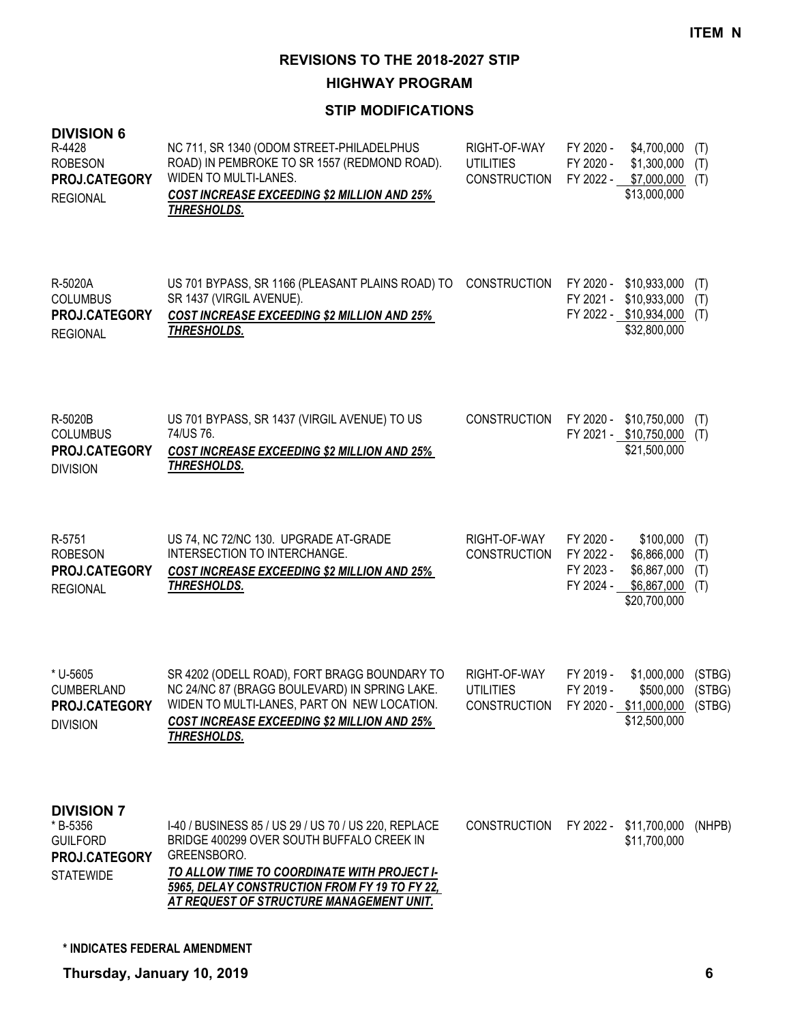**HIGHWAY PROGRAM**

| <b>DIVISION 6</b><br>R-4428<br><b>ROBESON</b><br>PROJ.CATEGORY<br><b>REGIONAL</b>     | NC 711, SR 1340 (ODOM STREET-PHILADELPHUS<br>ROAD) IN PEMBROKE TO SR 1557 (REDMOND ROAD).<br>WIDEN TO MULTI-LANES.<br><b>COST INCREASE EXCEEDING \$2 MILLION AND 25%</b><br>THRESHOLDS.                                                                      | RIGHT-OF-WAY<br><b>UTILITIES</b><br><b>CONSTRUCTION</b> | FY 2020 -<br>FY 2020 -                           | \$4,700,000<br>\$1,300,000<br>FY 2022 - \$7,000,000<br>\$13,000,000              | (T)<br>(T)<br>(T)        |
|---------------------------------------------------------------------------------------|--------------------------------------------------------------------------------------------------------------------------------------------------------------------------------------------------------------------------------------------------------------|---------------------------------------------------------|--------------------------------------------------|----------------------------------------------------------------------------------|--------------------------|
| R-5020A<br><b>COLUMBUS</b><br>PROJ.CATEGORY<br><b>REGIONAL</b>                        | US 701 BYPASS, SR 1166 (PLEASANT PLAINS ROAD) TO<br>SR 1437 (VIRGIL AVENUE).<br><b>COST INCREASE EXCEEDING \$2 MILLION AND 25%</b><br>THRESHOLDS.                                                                                                            | <b>CONSTRUCTION</b>                                     | FY 2021 -                                        | FY 2020 - \$10,933,000<br>\$10,933,000<br>FY 2022 - \$10,934,000<br>\$32,800,000 | (T)<br>(T)<br>(T)        |
| R-5020B<br><b>COLUMBUS</b><br>PROJ.CATEGORY<br><b>DIVISION</b>                        | US 701 BYPASS, SR 1437 (VIRGIL AVENUE) TO US<br>74/US 76.<br><b>COST INCREASE EXCEEDING \$2 MILLION AND 25%</b><br>THRESHOLDS.                                                                                                                               | <b>CONSTRUCTION</b>                                     |                                                  | FY 2020 - \$10,750,000<br>FY 2021 - \$10,750,000<br>\$21,500,000                 | (T)<br>(T)               |
| R-5751<br><b>ROBESON</b><br>PROJ.CATEGORY<br><b>REGIONAL</b>                          | US 74, NC 72/NC 130. UPGRADE AT-GRADE<br>INTERSECTION TO INTERCHANGE.<br><b>COST INCREASE EXCEEDING \$2 MILLION AND 25%</b><br>THRESHOLDS.                                                                                                                   | RIGHT-OF-WAY<br><b>CONSTRUCTION</b>                     | FY 2020 -<br>FY 2022 -<br>FY 2023 -<br>FY 2024 - | \$100,000<br>\$6,866,000<br>\$6,867,000<br>\$6,867,000<br>\$20,700,000           | (T)<br>(T)<br>(T)<br>(T) |
| * U-5605<br><b>CUMBERLAND</b><br>PROJ.CATEGORY<br><b>DIVISION</b>                     | SR 4202 (ODELL ROAD), FORT BRAGG BOUNDARY TO<br>NC 24/NC 87 (BRAGG BOULEVARD) IN SPRING LAKE.<br>WIDEN TO MULTI-LANES, PART ON NEW LOCATION.<br><b>COST INCREASE EXCEEDING \$2 MILLION AND 25%</b><br>THRESHOLDS.                                            | RIGHT-OF-WAY<br><b>UTILITIES</b><br><b>CONSTRUCTION</b> | FY 2019 -<br>FY 2019 -                           | \$1,000,000<br>\$500,000<br>FY 2020 - \$11,000,000 (STBG)<br>\$12,500,000        | (STBG)<br>(STBG)         |
| <b>DIVISION 7</b><br>* B-5356<br><b>GUILFORD</b><br>PROJ.CATEGORY<br><b>STATEWIDE</b> | I-40 / BUSINESS 85 / US 29 / US 70 / US 220, REPLACE<br>BRIDGE 400299 OVER SOUTH BUFFALO CREEK IN<br>GREENSBORO.<br>TO ALLOW TIME TO COORDINATE WITH PROJECT I-<br>5965, DELAY CONSTRUCTION FROM FY 19 TO FY 22,<br>AT REQUEST OF STRUCTURE MANAGEMENT UNIT. | <b>CONSTRUCTION</b>                                     |                                                  | FY 2022 - \$11,700,000<br>\$11,700,000                                           | (NHPB)                   |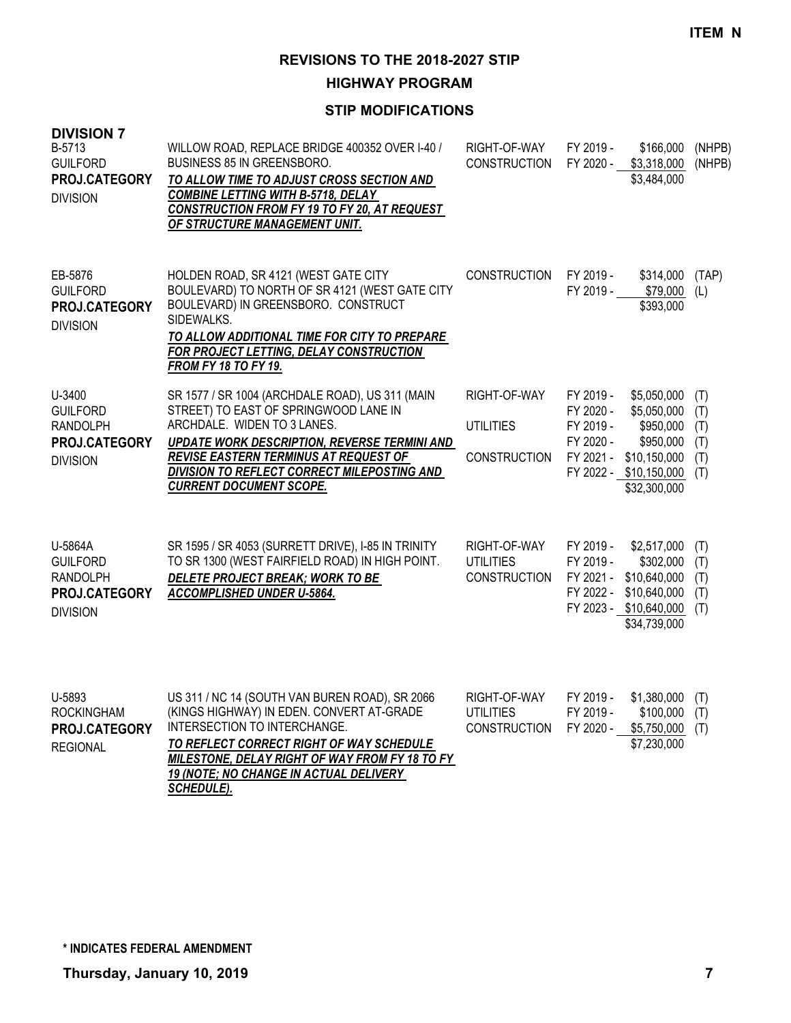**HIGHWAY PROGRAM**

| <b>DIVISION 7</b><br>B-5713<br><b>GUILFORD</b><br>PROJ.CATEGORY<br><b>DIVISION</b> | WILLOW ROAD, REPLACE BRIDGE 400352 OVER I-40 /<br><b>BUSINESS 85 IN GREENSBORO.</b><br>TO ALLOW TIME TO ADJUST CROSS SECTION AND<br><b>COMBINE LETTING WITH B-5718, DELAY</b><br><b>CONSTRUCTION FROM FY 19 TO FY 20, AT REQUEST</b><br>OF STRUCTURE MANAGEMENT UNIT.                                    | RIGHT-OF-WAY<br><b>CONSTRUCTION</b>                     | FY 2019 -<br>FY 2020 -                                        | \$166,000<br>\$3,318,000<br>\$3,484,000                                                                        | (NHPB)<br>(NHPB)                       |
|------------------------------------------------------------------------------------|----------------------------------------------------------------------------------------------------------------------------------------------------------------------------------------------------------------------------------------------------------------------------------------------------------|---------------------------------------------------------|---------------------------------------------------------------|----------------------------------------------------------------------------------------------------------------|----------------------------------------|
| EB-5876<br><b>GUILFORD</b><br>PROJ.CATEGORY<br><b>DIVISION</b>                     | HOLDEN ROAD, SR 4121 (WEST GATE CITY<br>BOULEVARD) TO NORTH OF SR 4121 (WEST GATE CITY<br>BOULEVARD) IN GREENSBORO. CONSTRUCT<br>SIDEWALKS.<br>TO ALLOW ADDITIONAL TIME FOR CITY TO PREPARE<br>FOR PROJECT LETTING, DELAY CONSTRUCTION<br>FROM FY 18 TO FY 19.                                           | <b>CONSTRUCTION</b>                                     | FY 2019 -<br>FY 2019 -                                        | \$314,000<br>\$79,000<br>\$393,000                                                                             | (TAP)<br>(L)                           |
| U-3400<br><b>GUILFORD</b><br><b>RANDOLPH</b><br>PROJ.CATEGORY<br><b>DIVISION</b>   | SR 1577 / SR 1004 (ARCHDALE ROAD), US 311 (MAIN<br>STREET) TO EAST OF SPRINGWOOD LANE IN<br>ARCHDALE. WIDEN TO 3 LANES.<br>UPDATE WORK DESCRIPTION, REVERSE TERMINI AND<br>REVISE EASTERN TERMINUS AT REQUEST OF<br><b>DIVISION TO REFLECT CORRECT MILEPOSTING AND</b><br><b>CURRENT DOCUMENT SCOPE.</b> | RIGHT-OF-WAY<br><b>UTILITIES</b><br><b>CONSTRUCTION</b> | FY 2019 -<br>FY 2020 -<br>FY 2019 -<br>FY 2020 -<br>FY 2021 - | \$5,050,000<br>\$5,050,000<br>\$950,000<br>\$950,000<br>\$10,150,000<br>FY 2022 - \$10,150,000<br>\$32,300,000 | (T)<br>(T)<br>(T)<br>(T)<br>(T)<br>(T) |
| U-5864A<br><b>GUILFORD</b><br><b>RANDOLPH</b><br>PROJ.CATEGORY<br><b>DIVISION</b>  | SR 1595 / SR 4053 (SURRETT DRIVE), I-85 IN TRINITY<br>TO SR 1300 (WEST FAIRFIELD ROAD) IN HIGH POINT.<br>DELETE PROJECT BREAK; WORK TO BE<br>ACCOMPLISHED UNDER U-5864.                                                                                                                                  | RIGHT-OF-WAY<br><b>UTILITIES</b><br><b>CONSTRUCTION</b> | FY 2019 -<br>FY 2019 -<br>FY 2021 -<br>FY 2022 -              | \$2,517,000<br>\$302,000<br>\$10,640,000<br>\$10,640,000<br>FY 2023 - \$10,640,000<br>\$34,739,000             | (T)<br>(T)<br>(T)<br>(T)<br>(T)        |
| U-5893<br><b>ROCKINGHAM</b><br>PROJ.CATEGORY<br><b>REGIONAL</b>                    | US 311 / NC 14 (SOUTH VAN BUREN ROAD), SR 2066<br>(KINGS HIGHWAY) IN EDEN. CONVERT AT-GRADE<br>INTERSECTION TO INTERCHANGE.<br>TO REFLECT CORRECT RIGHT OF WAY SCHEDULE<br>MILESTONE, DELAY RIGHT OF WAY FROM FY 18 TO FY<br>19 (NOTE; NO CHANGE IN ACTUAL DELIVERY<br>SCHEDULE).                        | RIGHT-OF-WAY<br><b>UTILITIES</b><br><b>CONSTRUCTION</b> | FY 2019 -<br>FY 2019 -<br>FY 2020 -                           | \$1,380,000<br>\$100,000<br>\$5,750,000<br>\$7,230,000                                                         | (T)<br>(T)<br>(T)                      |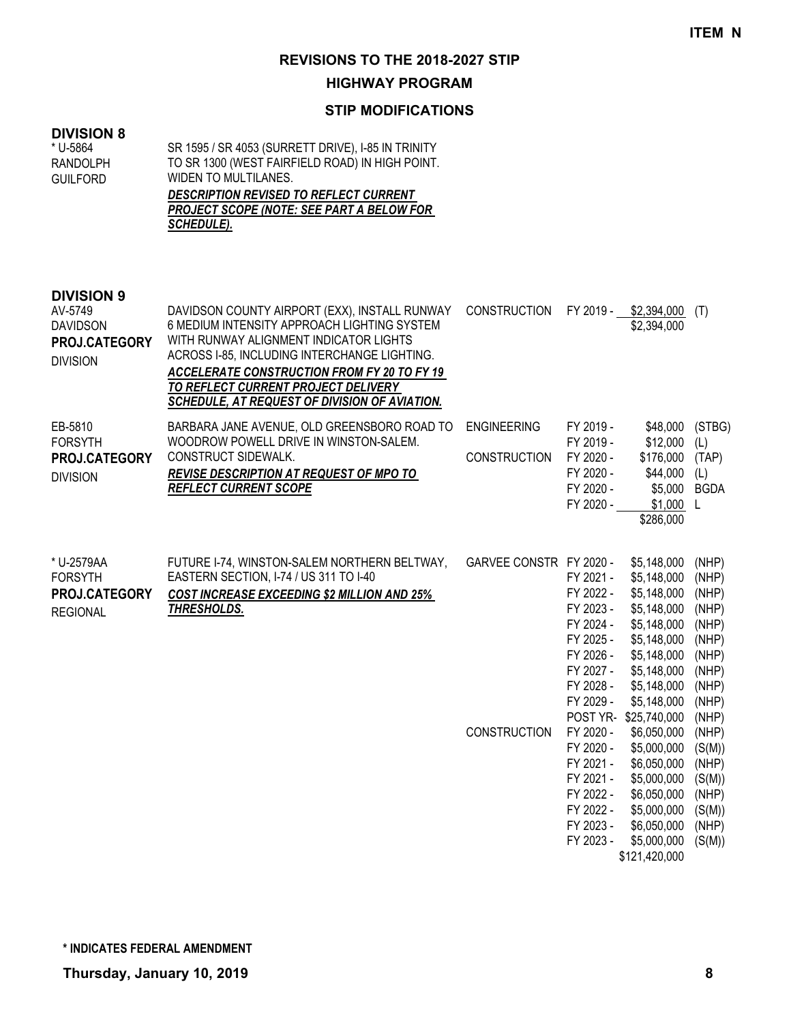## **HIGHWAY PROGRAM**

## **STIP MODIFICATIONS**

## **DIVISION 8**

**DIVISION 9**

| * U-5864 | SR 1595 / SR 4053 (SURRETT DRIVE), I-85 IN TRINITY |  |
|----------|----------------------------------------------------|--|
| RANDOLPH | TO SR 1300 (WEST FAIRFIELD ROAD) IN HIGH POINT.    |  |
| Guilford | WIDEN TO MULTILANES.                               |  |
|          | <b>DESCRIPTION REVISED TO REFLECT CURRENT</b>      |  |
|          | <b>PROJECT SCOPE (NOTE: SEE PART A BELOW FOR</b>   |  |
|          | <i>SCHEDULE).</i>                                  |  |
|          |                                                    |  |
|          |                                                    |  |
|          |                                                    |  |

| AV-5749<br><b>DAVIDSON</b><br><b>PROJ.CATEGORY</b><br><b>DIVISION</b>   | DAVIDSON COUNTY AIRPORT (EXX), INSTALL RUNWAY<br>6 MEDIUM INTENSITY APPROACH LIGHTING SYSTEM<br>WITH RUNWAY ALIGNMENT INDICATOR LIGHTS<br>ACROSS I-85, INCLUDING INTERCHANGE LIGHTING.<br><b>ACCELERATE CONSTRUCTION FROM FY 20 TO FY 19</b><br>TO REFLECT CURRENT PROJECT DELIVERY<br>SCHEDULE, AT REQUEST OF DIVISION OF AVIATION. | CONSTRUCTION                              | FY 2019 -                                                                  | \$2,394,000<br>\$2,394,000                                                                            | (T)                                                         |
|-------------------------------------------------------------------------|--------------------------------------------------------------------------------------------------------------------------------------------------------------------------------------------------------------------------------------------------------------------------------------------------------------------------------------|-------------------------------------------|----------------------------------------------------------------------------|-------------------------------------------------------------------------------------------------------|-------------------------------------------------------------|
| EB-5810<br><b>FORSYTH</b><br><b>PROJ.CATEGORY</b><br><b>DIVISION</b>    | BARBARA JANE AVENUE, OLD GREENSBORO ROAD TO<br>WOODROW POWELL DRIVE IN WINSTON-SALEM.<br>CONSTRUCT SIDEWALK.<br><b>REVISE DESCRIPTION AT REQUEST OF MPO TO</b><br><b>REFLECT CURRENT SCOPE</b>                                                                                                                                       | <b>ENGINEERING</b><br><b>CONSTRUCTION</b> | FY 2019 -<br>FY 2019 -<br>FY 2020 -<br>FY 2020 -<br>FY 2020 -<br>FY 2020 - | \$48,000<br>\$12,000<br>\$176,000<br>\$44,000<br>\$5,000<br>\$1,000<br>\$286,000                      | (STBG)<br>(L)<br>(TAP)<br>(L)<br><b>BGDA</b>                |
| * U-2579AA<br><b>FORSYTH</b><br><b>PROJ.CATEGORY</b><br><b>REGIONAL</b> | FUTURE 1-74, WINSTON-SALEM NORTHERN BELTWAY,<br>EASTERN SECTION, I-74 / US 311 TO I-40<br><b>COST INCREASE EXCEEDING \$2 MILLION AND 25%</b><br>THRESHOLDS.                                                                                                                                                                          | GARVEE CONSTR FY 2020 -                   | FY 2021 -<br>FY 2022 -<br>FY 2023 -<br>FY 2024 -<br>FY 2025 -<br>FY 2026 - | \$5,148,000<br>\$5,148,000<br>\$5,148,000<br>\$5,148,000<br>\$5,148,000<br>\$5,148,000<br>\$5,148,000 | (NHP)<br>(NHP)<br>(NHP)<br>(NHP)<br>(NHP)<br>(NHP)<br>(NHP) |

|                     | FY 2027 - | \$5,148,000   | (NHP)  |
|---------------------|-----------|---------------|--------|
|                     | FY 2028 - | \$5,148,000   | (NHP)  |
|                     | FY 2029 - | \$5,148,000   | (NHP)  |
|                     | POST YR-  | \$25,740,000  | (NHP)  |
| <b>CONSTRUCTION</b> | FY 2020 - | \$6,050,000   | (NHP)  |
|                     | FY 2020 - | \$5,000,000   | (S(M)) |
|                     | FY 2021 - | \$6,050,000   | (NHP)  |
|                     | FY 2021 - | \$5,000,000   | (S(M)) |
|                     | FY 2022 - | \$6,050,000   | (NHP)  |
|                     | FY 2022 - | \$5,000,000   | (S(M)) |
|                     | FY 2023 - | \$6,050,000   | (NHP)  |
|                     | FY 2023 - | \$5,000,000   | (S(M)) |
|                     |           | \$121,420,000 |        |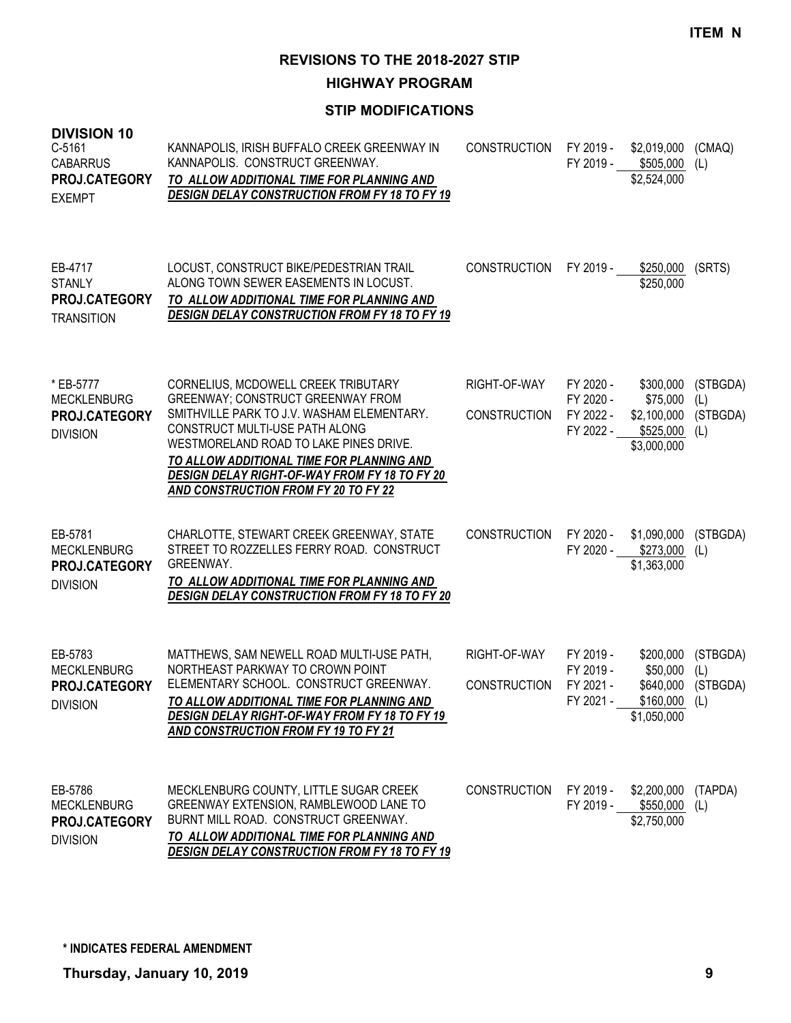**HIGHWAY PROGRAM**

| <b>DIVISION 10</b><br>C-5161<br><b>CABARRUS</b><br>PROJ.CATEGORY<br><b>EXEMPT</b> | KANNAPOLIS, IRISH BUFFALO CREEK GREENWAY IN<br>KANNAPOLIS. CONSTRUCT GREENWAY.<br>TO ALLOW ADDITIONAL TIME FOR PLANNING AND<br><b>DESIGN DELAY CONSTRUCTION FROM FY 18 TO FY 19</b>                                                                                                                                                             | <b>CONSTRUCTION</b>                 | FY 2019 -                                        | \$2,019,000<br>FY 2019 - \$505,000<br>\$2,524,000                     | (CMAQ)<br>(L)                         |
|-----------------------------------------------------------------------------------|-------------------------------------------------------------------------------------------------------------------------------------------------------------------------------------------------------------------------------------------------------------------------------------------------------------------------------------------------|-------------------------------------|--------------------------------------------------|-----------------------------------------------------------------------|---------------------------------------|
| EB-4717<br><b>STANLY</b><br>PROJ.CATEGORY<br><b>TRANSITION</b>                    | LOCUST, CONSTRUCT BIKE/PEDESTRIAN TRAIL<br>ALONG TOWN SEWER EASEMENTS IN LOCUST.<br>TO ALLOW ADDITIONAL TIME FOR PLANNING AND<br><b>DESIGN DELAY CONSTRUCTION FROM FY 18 TO FY 19</b>                                                                                                                                                           | <b>CONSTRUCTION</b>                 | FY 2019 -                                        | \$250,000<br>\$250,000                                                | (SRTS)                                |
| * EB-5777<br><b>MECKLENBURG</b><br>PROJ.CATEGORY<br><b>DIVISION</b>               | CORNELIUS, MCDOWELL CREEK TRIBUTARY<br><b>GREENWAY; CONSTRUCT GREENWAY FROM</b><br>SMITHVILLE PARK TO J.V. WASHAM ELEMENTARY.<br>CONSTRUCT MULTI-USE PATH ALONG<br>WESTMORELAND ROAD TO LAKE PINES DRIVE.<br>TO ALLOW ADDITIONAL TIME FOR PLANNING AND<br>DESIGN DELAY RIGHT-OF-WAY FROM FY 18 TO FY 20<br>AND CONSTRUCTION FROM FY 20 TO FY 22 | RIGHT-OF-WAY<br><b>CONSTRUCTION</b> | FY 2020 -<br>FY 2020 -<br>FY 2022 -<br>FY 2022 - | \$300,000<br>\$75,000<br>\$2,100,000<br>$$525,000$ (L)<br>\$3,000,000 | (STBGDA)<br>(L)<br>(STBGDA)           |
| EB-5781<br><b>MECKLENBURG</b><br>PROJ.CATEGORY<br><b>DIVISION</b>                 | CHARLOTTE, STEWART CREEK GREENWAY, STATE<br>STREET TO ROZZELLES FERRY ROAD. CONSTRUCT<br>GREENWAY.<br>TO ALLOW ADDITIONAL TIME FOR PLANNING AND<br><b>DESIGN DELAY CONSTRUCTION FROM FY 18 TO FY 20</b>                                                                                                                                         | <b>CONSTRUCTION</b>                 | FY 2020 -<br>FY 2020 -                           | \$1,090,000<br>$$273,000$ (L)<br>\$1,363,000                          | (STBGDA)                              |
| EB-5783<br><b>MECKLENBURG</b><br>PROJ.CATEGORY<br><b>DIVISION</b>                 | MATTHEWS, SAM NEWELL ROAD MULTI-USE PATH,<br>NORTHEAST PARKWAY TO CROWN POINT<br>ELEMENTARY SCHOOL. CONSTRUCT GREENWAY.<br>TO ALLOW ADDITIONAL TIME FOR PLANNING AND<br>DESIGN DELAY RIGHT-OF-WAY FROM FY 18 TO FY 19<br>AND CONSTRUCTION FROM FY 19 TO FY 21                                                                                   | RIGHT-OF-WAY<br><b>CONSTRUCTION</b> | FY 2019 -<br>FY 2019 -<br>FY 2021 -<br>FY 2021 - | \$200,000<br>\$50,000<br>$$160,000$ (L)<br>\$1,050,000                | (STBGDA)<br>(L)<br>\$640,000 (STBGDA) |
| EB-5786<br><b>MECKLENBURG</b><br>PROJ.CATEGORY<br><b>DIVISION</b>                 | MECKLENBURG COUNTY, LITTLE SUGAR CREEK<br>GREENWAY EXTENSION, RAMBLEWOOD LANE TO<br>BURNT MILL ROAD. CONSTRUCT GREENWAY.<br>TO ALLOW ADDITIONAL TIME FOR PLANNING AND<br><b>DESIGN DELAY CONSTRUCTION FROM FY 18 TO FY 19</b>                                                                                                                   | <b>CONSTRUCTION</b>                 | FY 2019 -                                        | \$2,200,000 (TAPDA)<br>FY 2019 - \$550,000 (L)<br>\$2,750,000         |                                       |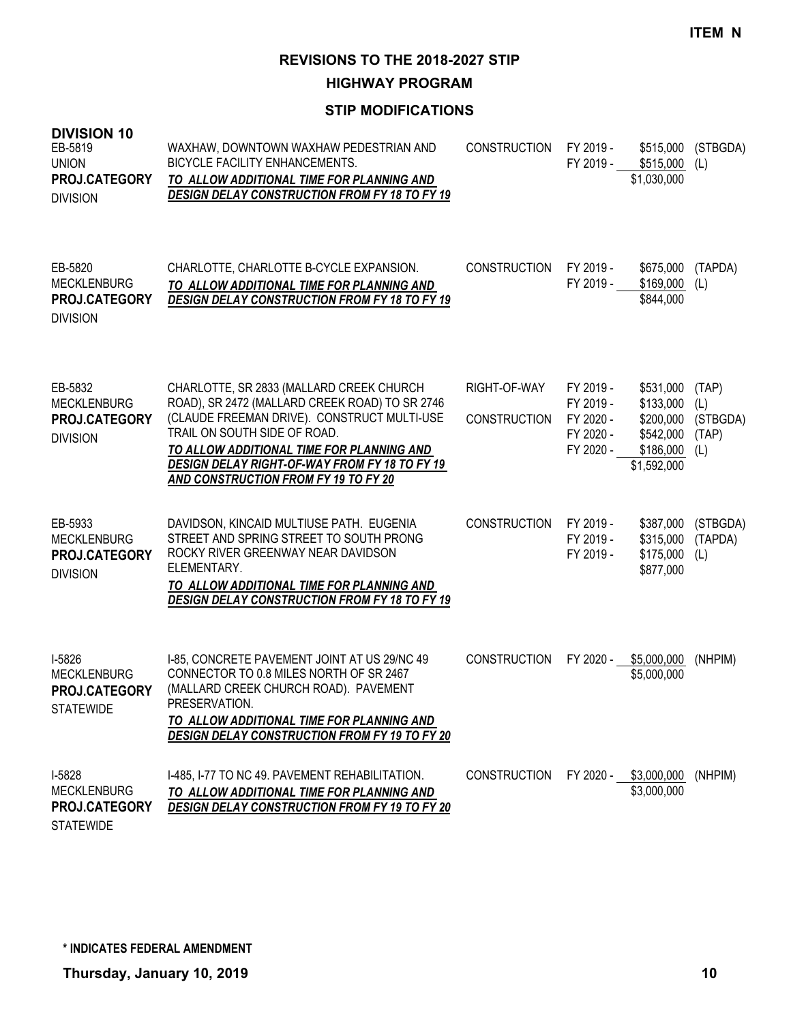**HIGHWAY PROGRAM**

| <b>DIVISION 10</b><br>EB-5819<br><b>UNION</b><br>PROJ.CATEGORY<br><b>DIVISION</b> | WAXHAW, DOWNTOWN WAXHAW PEDESTRIAN AND<br><b>BICYCLE FACILITY ENHANCEMENTS.</b><br>TO ALLOW ADDITIONAL TIME FOR PLANNING AND<br><b>DESIGN DELAY CONSTRUCTION FROM FY 18 TO FY 19</b>                                                                                                                            | <b>CONSTRUCTION</b>                 | FY 2019 -<br>FY 2019 -                                        | \$515,000<br>\$515,000<br>\$1,030,000                                        | (STBGDA)<br>(L)                          |
|-----------------------------------------------------------------------------------|-----------------------------------------------------------------------------------------------------------------------------------------------------------------------------------------------------------------------------------------------------------------------------------------------------------------|-------------------------------------|---------------------------------------------------------------|------------------------------------------------------------------------------|------------------------------------------|
| EB-5820<br><b>MECKLENBURG</b><br><b>PROJ.CATEGORY</b><br><b>DIVISION</b>          | CHARLOTTE, CHARLOTTE B-CYCLE EXPANSION.<br>TO ALLOW ADDITIONAL TIME FOR PLANNING AND<br><b>DESIGN DELAY CONSTRUCTION FROM FY 18 TO FY 19</b>                                                                                                                                                                    | <b>CONSTRUCTION</b>                 | FY 2019 -<br>FY 2019 -                                        | \$675,000<br>\$169,000<br>\$844,000                                          | (TAPDA)<br>(L)                           |
| EB-5832<br><b>MECKLENBURG</b><br>PROJ.CATEGORY<br><b>DIVISION</b>                 | CHARLOTTE, SR 2833 (MALLARD CREEK CHURCH<br>ROAD), SR 2472 (MALLARD CREEK ROAD) TO SR 2746<br>(CLAUDE FREEMAN DRIVE). CONSTRUCT MULTI-USE<br>TRAIL ON SOUTH SIDE OF ROAD.<br>TO ALLOW ADDITIONAL TIME FOR PLANNING AND<br>DESIGN DELAY RIGHT-OF-WAY FROM FY 18 TO FY 19<br>AND CONSTRUCTION FROM FY 19 TO FY 20 | RIGHT-OF-WAY<br><b>CONSTRUCTION</b> | FY 2019 -<br>FY 2019 -<br>FY 2020 -<br>FY 2020 -<br>FY 2020 - | \$531,000<br>\$133,000<br>\$200,000<br>\$542,000<br>\$186,000<br>\$1,592,000 | (TAP)<br>(L)<br>(STBGDA)<br>(TAP)<br>(L) |
| EB-5933<br><b>MECKLENBURG</b><br>PROJ.CATEGORY<br><b>DIVISION</b>                 | DAVIDSON, KINCAID MULTIUSE PATH. EUGENIA<br>STREET AND SPRING STREET TO SOUTH PRONG<br>ROCKY RIVER GREENWAY NEAR DAVIDSON<br>ELEMENTARY.<br>TO ALLOW ADDITIONAL TIME FOR PLANNING AND<br><b>DESIGN DELAY CONSTRUCTION FROM FY 18 TO FY 19</b>                                                                   | CONSTRUCTION                        | FY 2019 -<br>FY 2019 -<br>FY 2019 -                           | \$387,000<br>\$315,000<br>\$175,000<br>\$877,000                             | (STBGDA)<br>(TAPDA)<br>(L)               |
| I-5826<br><b>MECKLENBURG</b><br>PROJ.CATEGORY<br><b>STATEWIDE</b>                 | I-85, CONCRETE PAVEMENT JOINT AT US 29/NC 49<br>CONNECTOR TO 0.8 MILES NORTH OF SR 2467<br>(MALLARD CREEK CHURCH ROAD). PAVEMENT<br>PRESERVATION.<br>TO ALLOW ADDITIONAL TIME FOR PLANNING AND<br><b>DESIGN DELAY CONSTRUCTION FROM FY 19 TO FY 20</b>                                                          | <b>CONSTRUCTION</b>                 | FY 2020 -                                                     | \$5,000,000<br>\$5,000,000                                                   | (NHPIM)                                  |
| I-5828<br><b>MECKLENBURG</b><br>PROJ.CATEGORY<br><b>STATEWIDE</b>                 | I-485, I-77 TO NC 49. PAVEMENT REHABILITATION.<br>TO ALLOW ADDITIONAL TIME FOR PLANNING AND<br><b>DESIGN DELAY CONSTRUCTION FROM FY 19 TO FY 20</b>                                                                                                                                                             | <b>CONSTRUCTION</b>                 |                                                               | FY 2020 - \$3,000,000 (NHPIM)<br>\$3,000,000                                 |                                          |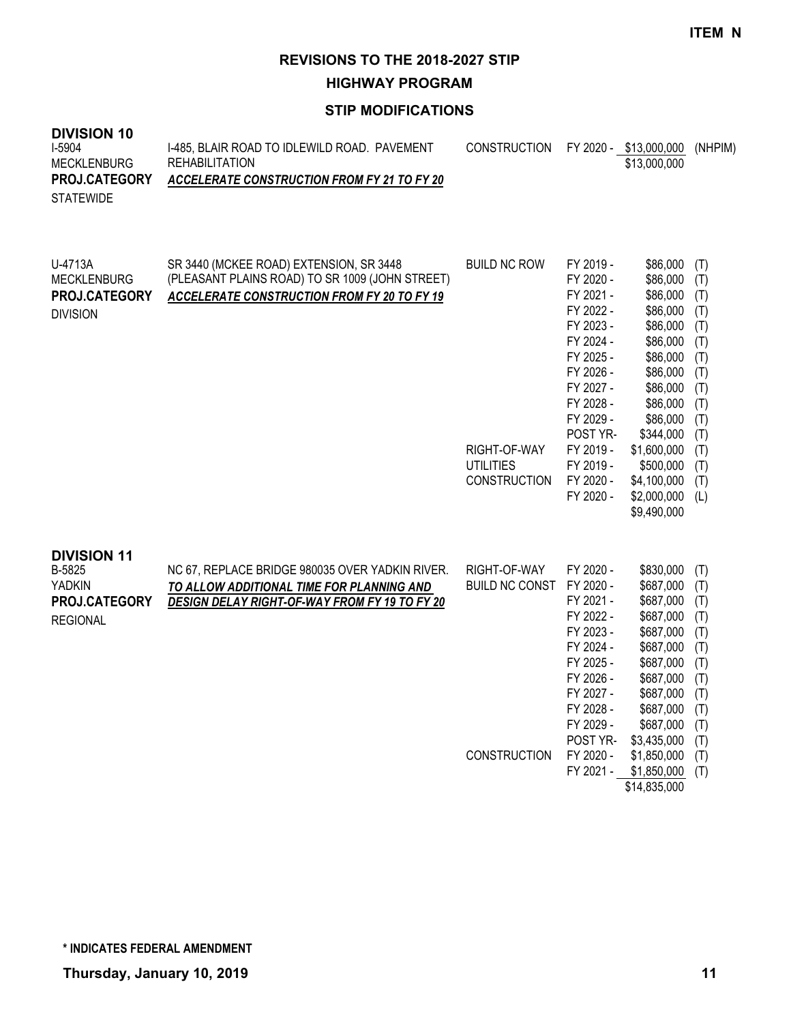#### **HIGHWAY PROGRAM**

## **STIP MODIFICATIONS**

## **DIVISION 10**

| I-5904<br>MECKLENBURG | 1-485, BLAIR ROAD TO IDLEWILD ROAD. PAVEMENT<br>REHABILITATION | CONSTRUCTION FY 2020 - \$13,000,000 (NHPIM) | \$13,000,000 |  |
|-----------------------|----------------------------------------------------------------|---------------------------------------------|--------------|--|
| <b>PROJ.CATEGORY</b>  | ACCELERATE CONSTRUCTION FROM FY 21 TO FY 20                    |                                             |              |  |
| <b>STATEWIDE</b>      |                                                                |                                             |              |  |

| U-4713A<br><b>MECKLENBURG</b><br><b>PROJ.CATEGORY</b><br><b>DIVISION</b>          | SR 3440 (MCKEE ROAD) EXTENSION, SR 3448<br>(PLEASANT PLAINS ROAD) TO SR 1009 (JOHN STREET)<br><b>ACCELERATE CONSTRUCTION FROM FY 20 TO FY 19</b> | <b>BUILD NC ROW</b><br>RIGHT-OF-WAY<br><b>UTILITIES</b><br><b>CONSTRUCTION</b> | FY 2019 -<br>FY 2020 -<br>FY 2021 -<br>FY 2022 -<br>FY 2023 -<br>FY 2024 -<br>FY 2025 -<br>FY 2026 -<br>FY 2027 -<br>FY 2028 -<br>FY 2029 -<br>POST YR-<br>FY 2019 -<br>FY 2019 -<br>FY 2020 -<br>FY 2020 - | \$86,000<br>\$86,000<br>\$86,000<br>\$86,000<br>\$86,000<br>\$86,000<br>\$86,000<br>\$86,000<br>\$86,000<br>\$86,000<br>\$86,000<br>\$344,000<br>\$1,600,000<br>\$500,000<br>\$4,100,000<br>\$2,000,000<br>\$9,490,000 | (T)<br>(T)<br>(T)<br>(T)<br>(T)<br>(T)<br>(T)<br>(T)<br>(T)<br>(T)<br>(T)<br>(T)<br>(T)<br>(T)<br>(T)<br>(L) |
|-----------------------------------------------------------------------------------|--------------------------------------------------------------------------------------------------------------------------------------------------|--------------------------------------------------------------------------------|-------------------------------------------------------------------------------------------------------------------------------------------------------------------------------------------------------------|------------------------------------------------------------------------------------------------------------------------------------------------------------------------------------------------------------------------|--------------------------------------------------------------------------------------------------------------|
| <b>DIVISION 11</b><br>B-5825<br><b>YADKIN</b><br>PROJ.CATEGORY<br><b>REGIONAL</b> | NC 67, REPLACE BRIDGE 980035 OVER YADKIN RIVER.<br>TO ALLOW ADDITIONAL TIME FOR PLANNING AND<br>DESIGN DELAY RIGHT-OF-WAY FROM FY 19 TO FY 20    | RIGHT-OF-WAY<br><b>BUILD NC CONST</b><br>CONSTRUCTION                          | FY 2020 -<br>FY 2020 -<br>FY 2021 -<br>FY 2022 -<br>FY 2023 -<br>FY 2024 -<br>FY 2025 -<br>FY 2026 -<br>FY 2027 -<br>FY 2028 -<br>FY 2029 -<br>POST YR-<br>FY 2020 -<br>FY 2021 -                           | \$830,000<br>\$687,000<br>\$687,000<br>\$687,000<br>\$687,000<br>\$687,000<br>\$687,000<br>\$687,000<br>\$687,000<br>\$687,000<br>\$687,000<br>\$3,435,000<br>\$1,850,000<br>\$1,850,000<br>\$14,835,000               | (T)<br>(T)<br>(T)<br>(T)<br>(T)<br>(T)<br>(T)<br>(T)<br>(T)<br>(T)<br>(T)<br>(T)<br>(T)<br>(T)               |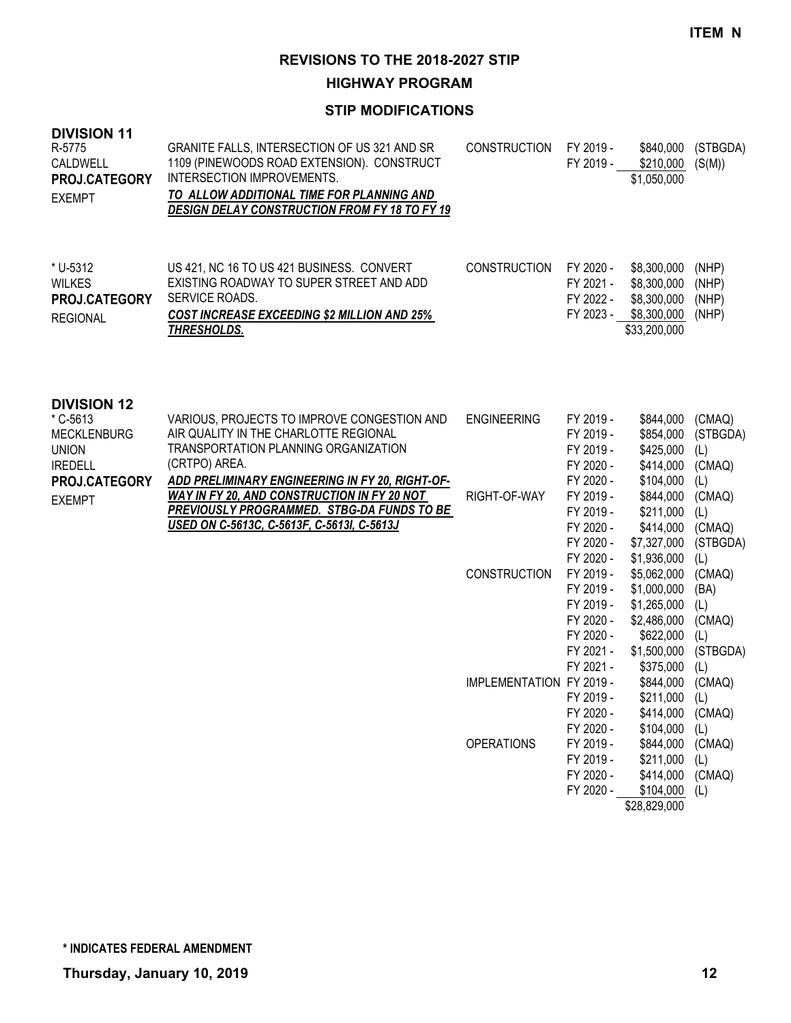**HIGHWAY PROGRAM**

| <b>DIVISION 11</b><br>R-5775<br>CALDWELL<br>PROJ.CATEGORY<br><b>EXEMPT</b>             | GRANITE FALLS, INTERSECTION OF US 321 AND SR<br>1109 (PINEWOODS ROAD EXTENSION). CONSTRUCT<br>INTERSECTION IMPROVEMENTS.<br>TO ALLOW ADDITIONAL TIME FOR PLANNING AND<br><b>DESIGN DELAY CONSTRUCTION FROM FY 18 TO FY 19</b> | <b>CONSTRUCTION</b>      | FY 2019 -<br>FY 2019 -                                                                  | \$840,000<br>\$210,000<br>\$1,050,000                                                                      | (STBGDA)<br>(S(M))                                        |
|----------------------------------------------------------------------------------------|-------------------------------------------------------------------------------------------------------------------------------------------------------------------------------------------------------------------------------|--------------------------|-----------------------------------------------------------------------------------------|------------------------------------------------------------------------------------------------------------|-----------------------------------------------------------|
| * U-5312<br><b>WILKES</b><br>PROJ.CATEGORY<br><b>REGIONAL</b>                          | US 421, NC 16 TO US 421 BUSINESS. CONVERT<br>EXISTING ROADWAY TO SUPER STREET AND ADD<br>SERVICE ROADS.<br><b>COST INCREASE EXCEEDING \$2 MILLION AND 25%</b><br>THRESHOLDS.                                                  | <b>CONSTRUCTION</b>      | FY 2020 -<br>FY 2021 -<br>FY 2022 -<br>FY 2023 -                                        | \$8,300,000<br>\$8,300,000<br>\$8,300,000<br>\$8,300,000<br>\$33,200,000                                   | (NHP)<br>(NHP)<br>(NHP)<br>(NHP)                          |
| <b>DIVISION 12</b><br>* C-5613<br><b>MECKLENBURG</b><br><b>UNION</b><br><b>IREDELL</b> | VARIOUS, PROJECTS TO IMPROVE CONGESTION AND<br>AIR QUALITY IN THE CHARLOTTE REGIONAL<br>TRANSPORTATION PLANNING ORGANIZATION<br>(CRTPO) AREA.                                                                                 | <b>ENGINEERING</b>       | FY 2019 -<br>FY 2019 -<br>FY 2019 -<br>FY 2020 -                                        | \$844,000<br>\$854,000<br>\$425,000<br>\$414,000                                                           | (CMAQ)<br>(STBGDA)<br>(L)<br>(CMAQ)                       |
| PROJ.CATEGORY<br><b>EXEMPT</b>                                                         | ADD PRELIMINARY ENGINEERING IN FY 20, RIGHT-OF-<br>WAY IN FY 20, AND CONSTRUCTION IN FY 20 NOT<br><b>PREVIOUSLY PROGRAMMED. STBG-DA FUNDS TO BE</b><br>USED ON C-5613C, C-5613F, C-5613I, C-5613J                             | RIGHT-OF-WAY             | FY 2020 -<br>FY 2019 -<br>FY 2019 -<br>FY 2020 -<br>FY 2020 -                           | \$104,000<br>\$844,000<br>\$211,000<br>\$414,000<br>\$7,327,000                                            | (L)<br>(CMAQ)<br>(L)<br>(CMAQ)<br>(STBGDA)                |
|                                                                                        |                                                                                                                                                                                                                               | <b>CONSTRUCTION</b>      | FY 2020 -<br>FY 2019 -<br>FY 2019 -<br>FY 2019 -<br>FY 2020 -<br>FY 2020 -<br>FY 2021 - | \$1,936,000<br>\$5,062,000<br>\$1,000,000<br>\$1,265,000<br>\$2,486,000<br>\$622,000<br>\$1,500,000        | (L)<br>(CMAQ)<br>(BA)<br>(L)<br>(CMAQ)<br>(L)<br>(STBGDA) |
|                                                                                        |                                                                                                                                                                                                                               | IMPLEMENTATION FY 2019 - | FY 2021 -<br>FY 2019 -<br>FY 2020 -                                                     | \$375,000<br>\$844,000<br>$$211,000$ (L)<br>\$414,000 (CMAQ)                                               | (L)<br>(CMAQ)                                             |
|                                                                                        |                                                                                                                                                                                                                               | <b>OPERATIONS</b>        | FY 2020 -<br>FY 2019 -<br>FY 2019 -<br>FY 2020 -<br>FY 2020 -                           | $$104,000$ (L)<br>\$844,000 (CMAQ)<br>$$211,000$ (L)<br>\$414,000 (CMAQ)<br>$$104,000$ (L)<br>\$28,829,000 |                                                           |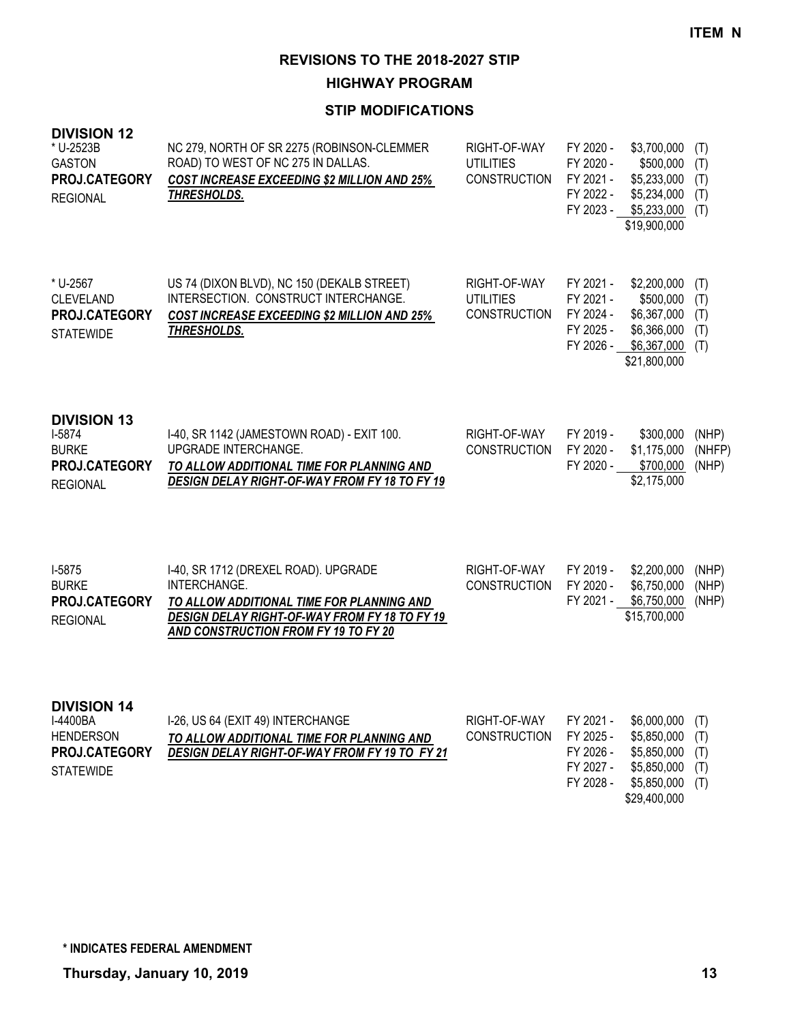**HIGHWAY PROGRAM**

| <b>DIVISION 12</b><br>* U-2523B<br><b>GASTON</b><br>PROJ.CATEGORY<br><b>REGIONAL</b>    | NC 279, NORTH OF SR 2275 (ROBINSON-CLEMMER<br>ROAD) TO WEST OF NC 275 IN DALLAS.<br><b>COST INCREASE EXCEEDING \$2 MILLION AND 25%</b><br>THRESHOLDS.                                             | RIGHT-OF-WAY<br><b>UTILITIES</b><br><b>CONSTRUCTION</b> | FY 2020 -<br>FY 2020 -<br>FY 2021 -<br>FY 2022 -<br>FY 2023 - | \$3,700,000<br>\$500,000<br>\$5,233,000<br>\$5,234,000<br>\$5,233,000<br>\$19,900,000   | (T)<br>(T)<br>(T)<br>(T)<br>(T) |
|-----------------------------------------------------------------------------------------|---------------------------------------------------------------------------------------------------------------------------------------------------------------------------------------------------|---------------------------------------------------------|---------------------------------------------------------------|-----------------------------------------------------------------------------------------|---------------------------------|
| * U-2567<br><b>CLEVELAND</b><br>PROJ.CATEGORY<br><b>STATEWIDE</b>                       | US 74 (DIXON BLVD), NC 150 (DEKALB STREET)<br>INTERSECTION. CONSTRUCT INTERCHANGE.<br><b>COST INCREASE EXCEEDING \$2 MILLION AND 25%</b><br>THRESHOLDS.                                           | RIGHT-OF-WAY<br><b>UTILITIES</b><br><b>CONSTRUCTION</b> | FY 2021 -<br>FY 2021 -<br>FY 2024 -<br>FY 2025 -<br>FY 2026 - | \$2,200,000<br>\$500,000<br>\$6,367,000<br>\$6,366,000<br>\$6,367,000<br>\$21,800,000   | (T)<br>(T)<br>(T)<br>(T)<br>(T) |
| <b>DIVISION 13</b><br>$I-5874$<br><b>BURKE</b><br>PROJ.CATEGORY<br><b>REGIONAL</b>      | I-40, SR 1142 (JAMESTOWN ROAD) - EXIT 100.<br>UPGRADE INTERCHANGE.<br>TO ALLOW ADDITIONAL TIME FOR PLANNING AND<br>DESIGN DELAY RIGHT-OF-WAY FROM FY 18 TO FY 19                                  | RIGHT-OF-WAY<br><b>CONSTRUCTION</b>                     | FY 2019 -<br>FY 2020 -<br>FY 2020 -                           | \$300,000<br>\$1,175,000<br>\$700,000<br>\$2,175,000                                    | (NHP)<br>(NHFP)<br>(NHP)        |
| I-5875<br><b>BURKE</b><br>PROJ.CATEGORY<br><b>REGIONAL</b>                              | I-40, SR 1712 (DREXEL ROAD). UPGRADE<br>INTERCHANGE.<br>TO ALLOW ADDITIONAL TIME FOR PLANNING AND<br>DESIGN DELAY RIGHT-OF-WAY FROM FY 18 TO FY 19<br><b>AND CONSTRUCTION FROM FY 19 TO FY 20</b> | RIGHT-OF-WAY<br><b>CONSTRUCTION</b>                     | FY 2019 -<br>FY 2020 -<br>FY 2021 -                           | \$2,200,000<br>\$6,750,000<br>\$6,750,000<br>\$15,700,000                               | (NHP)<br>(NHP)<br>(NHP)         |
| <b>DIVISION 14</b><br>I-4400BA<br><b>HENDERSON</b><br>PROJ.CATEGORY<br><b>STATEWIDE</b> | I-26, US 64 (EXIT 49) INTERCHANGE<br>TO ALLOW ADDITIONAL TIME FOR PLANNING AND<br>DESIGN DELAY RIGHT-OF-WAY FROM FY 19 TO FY 21                                                                   | RIGHT-OF-WAY<br><b>CONSTRUCTION</b>                     | FY 2021 -<br>FY 2025 -<br>FY 2026 -<br>FY 2027 -<br>FY 2028 - | \$6,000,000<br>\$5,850,000<br>\$5,850,000<br>\$5,850,000<br>\$5,850,000<br>\$29,400,000 | (T)<br>(T)<br>(T)<br>(T)<br>(T) |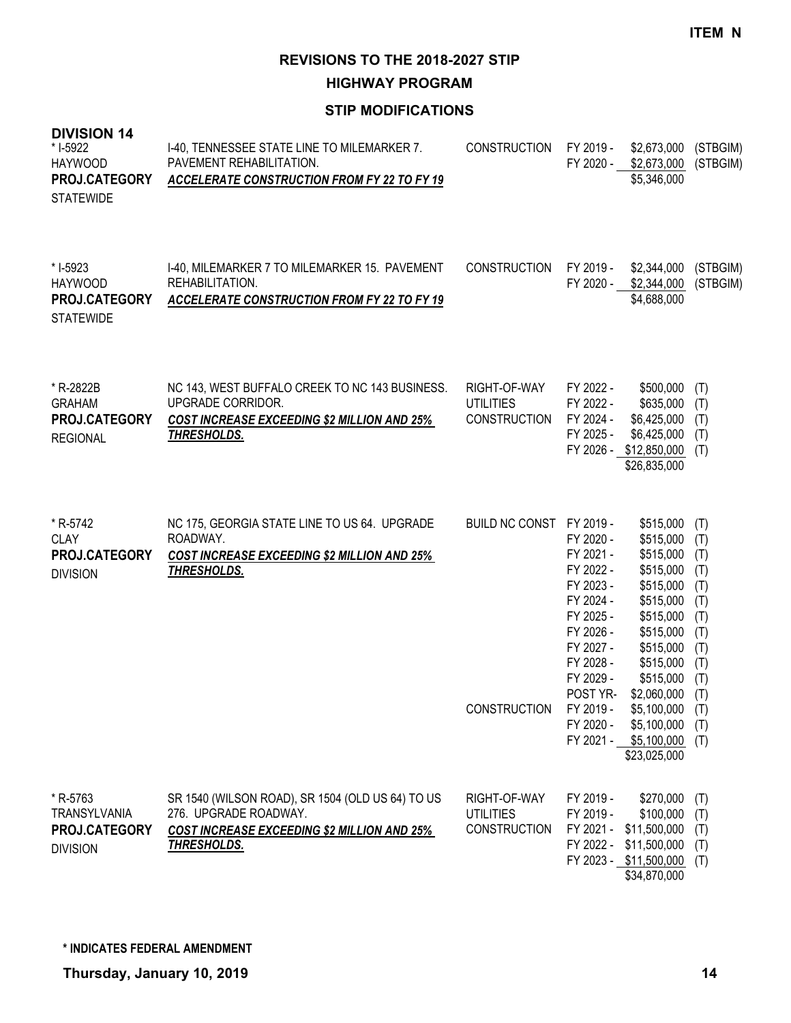**HIGHWAY PROGRAM**

| <b>DIVISION 14</b><br>* I-5922<br><b>HAYWOOD</b><br>PROJ.CATEGORY<br><b>STATEWIDE</b> | I-40, TENNESSEE STATE LINE TO MILEMARKER 7.<br>PAVEMENT REHABILITATION.<br><b>ACCELERATE CONSTRUCTION FROM FY 22 TO FY 19</b>                  | <b>CONSTRUCTION</b>                                     | FY 2019 -<br>FY 2020 -                                                                                                                                               | \$2,673,000<br>\$2,673,000<br>\$5,346,000                                                                                                                                                                                              | (STBGIM)<br>(STBGIM)                                                                           |
|---------------------------------------------------------------------------------------|------------------------------------------------------------------------------------------------------------------------------------------------|---------------------------------------------------------|----------------------------------------------------------------------------------------------------------------------------------------------------------------------|----------------------------------------------------------------------------------------------------------------------------------------------------------------------------------------------------------------------------------------|------------------------------------------------------------------------------------------------|
| * I-5923<br><b>HAYWOOD</b><br>PROJ.CATEGORY<br><b>STATEWIDE</b>                       | I-40, MILEMARKER 7 TO MILEMARKER 15. PAVEMENT<br>REHABILITATION.<br>ACCELERATE CONSTRUCTION FROM FY 22 TO FY 19                                | CONSTRUCTION                                            | FY 2019 -                                                                                                                                                            | \$2,344,000<br>FY 2020 - \$2,344,000<br>\$4,688,000                                                                                                                                                                                    | (STBGIM)<br>(STBGIM)                                                                           |
| * R-2822B<br><b>GRAHAM</b><br>PROJ.CATEGORY<br><b>REGIONAL</b>                        | NC 143, WEST BUFFALO CREEK TO NC 143 BUSINESS.<br>UPGRADE CORRIDOR.<br>COST INCREASE EXCEEDING \$2 MILLION AND 25%<br>THRESHOLDS.              | RIGHT-OF-WAY<br><b>UTILITIES</b><br><b>CONSTRUCTION</b> | FY 2022 -<br>FY 2022 -<br>FY 2024 -<br>FY 2025 -                                                                                                                     | \$500,000<br>\$635,000<br>\$6,425,000<br>\$6,425,000<br>FY 2026 - \$12,850,000<br>\$26,835,000                                                                                                                                         | (T)<br>(T)<br>(T)<br>(T)<br>(T)                                                                |
| * R-5742<br><b>CLAY</b><br>PROJ.CATEGORY<br><b>DIVISION</b>                           | NC 175, GEORGIA STATE LINE TO US 64. UPGRADE<br>ROADWAY.<br>COST INCREASE EXCEEDING \$2 MILLION AND 25%<br>THRESHOLDS.                         | BUILD NC CONST FY 2019 -<br>CONSTRUCTION                | FY 2020 -<br>FY 2021 -<br>FY 2022 -<br>FY 2023 -<br>FY 2024 -<br>FY 2025 -<br>FY 2026 -<br>FY 2027 -<br>FY 2028 -<br>FY 2029 -<br>POST YR-<br>FY 2019 -<br>FY 2020 - | \$515,000<br>\$515,000<br>\$515,000<br>\$515,000<br>\$515,000<br>\$515,000<br>\$515,000<br>\$515,000<br>\$515,000<br>\$515,000<br>\$515,000<br>\$2,060,000<br>$$5,100,000$ (T)<br>\$5,100,000<br>FY 2021 - \$5,100,000<br>\$23,025,000 | (T)<br>(T)<br>(T)<br>(T)<br>(T)<br>(T)<br>(T)<br>(T)<br>(T)<br>(T)<br>(T)<br>(T)<br>(T)<br>(T) |
| * R-5763<br><b>TRANSYLVANIA</b><br>PROJ.CATEGORY<br><b>DIVISION</b>                   | SR 1540 (WILSON ROAD), SR 1504 (OLD US 64) TO US<br>276. UPGRADE ROADWAY.<br><b>COST INCREASE EXCEEDING \$2 MILLION AND 25%</b><br>THRESHOLDS. | RIGHT-OF-WAY<br><b>UTILITIES</b><br><b>CONSTRUCTION</b> | FY 2019 -<br>FY 2019 -                                                                                                                                               | \$270,000<br>\$100,000<br>FY 2021 - \$11,500,000<br>FY 2022 - \$11,500,000<br>FY 2023 - \$11,500,000<br>\$34,870,000                                                                                                                   | (T)<br>(T)<br>(T)<br>(T)<br>(T)                                                                |